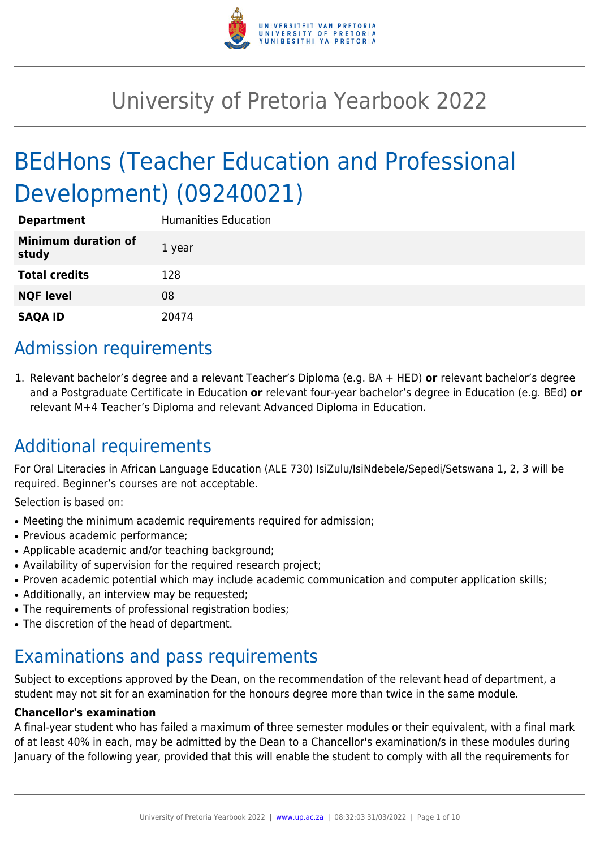

# University of Pretoria Yearbook 2022

# BEdHons (Teacher Education and Professional Development) (09240021)

| <b>Department</b>                   | <b>Humanities Education</b> |
|-------------------------------------|-----------------------------|
| <b>Minimum duration of</b><br>study | 1 year                      |
| <b>Total credits</b>                | 128                         |
| <b>NQF level</b>                    | 08                          |
| <b>SAQA ID</b>                      | 20474                       |

# Admission requirements

1. Relevant bachelor's degree and a relevant Teacher's Diploma (e.g. BA + HED) **or** relevant bachelor's degree and a Postgraduate Certificate in Education **or** relevant four-year bachelor's degree in Education (e.g. BEd) **or** relevant M+4 Teacher's Diploma and relevant Advanced Diploma in Education.

# Additional requirements

For Oral Literacies in African Language Education (ALE 730) IsiZulu/IsiNdebele/Sepedi/Setswana 1, 2, 3 will be required. Beginner's courses are not acceptable.

Selection is based on:

- Meeting the minimum academic requirements required for admission;
- Previous academic performance:
- Applicable academic and/or teaching background;
- Availability of supervision for the required research project;
- Proven academic potential which may include academic communication and computer application skills;
- Additionally, an interview may be requested;
- The requirements of professional registration bodies;
- The discretion of the head of department.

# Examinations and pass requirements

Subject to exceptions approved by the Dean, on the recommendation of the relevant head of department, a student may not sit for an examination for the honours degree more than twice in the same module.

#### **Chancellor's examination**

A final-year student who has failed a maximum of three semester modules or their equivalent, with a final mark of at least 40% in each, may be admitted by the Dean to a Chancellor's examination/s in these modules during January of the following year, provided that this will enable the student to comply with all the requirements for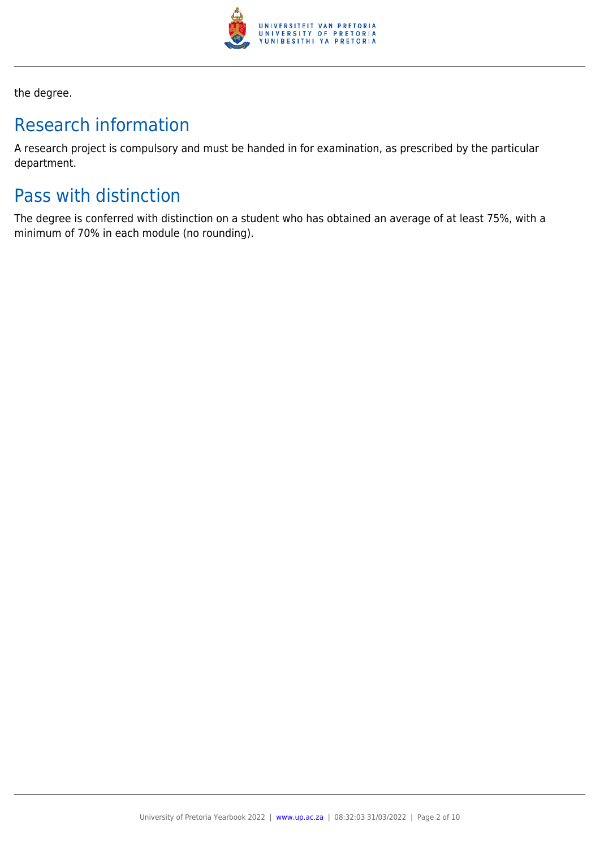

the degree.

# Research information

A research project is compulsory and must be handed in for examination, as prescribed by the particular department.

# Pass with distinction

The degree is conferred with distinction on a student who has obtained an average of at least 75%, with a minimum of 70% in each module (no rounding).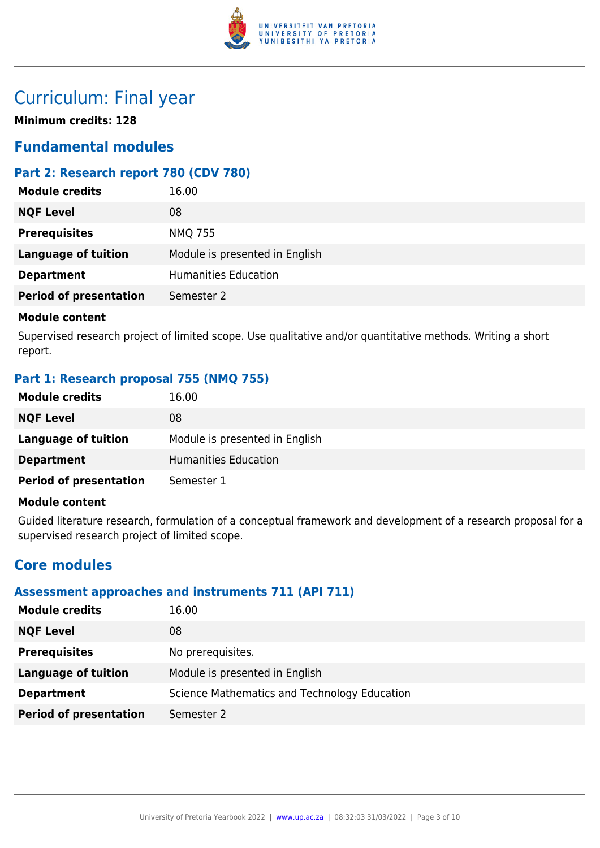

# Curriculum: Final year

**Minimum credits: 128**

# **Fundamental modules**

# **Part 2: Research report 780 (CDV 780)**

| <b>Module credits</b>         | 16.00                          |
|-------------------------------|--------------------------------|
| <b>NQF Level</b>              | 08                             |
| <b>Prerequisites</b>          | <b>NMQ 755</b>                 |
| <b>Language of tuition</b>    | Module is presented in English |
| <b>Department</b>             | <b>Humanities Education</b>    |
| <b>Period of presentation</b> | Semester 2                     |
|                               |                                |

#### **Module content**

Supervised research project of limited scope. Use qualitative and/or quantitative methods. Writing a short report.

## **Part 1: Research proposal 755 (NMQ 755)**

| <b>Module credits</b>         | 16.00                          |
|-------------------------------|--------------------------------|
| <b>NQF Level</b>              | 08                             |
| Language of tuition           | Module is presented in English |
| <b>Department</b>             | Humanities Education           |
| <b>Period of presentation</b> | Semester 1                     |

#### **Module content**

Guided literature research, formulation of a conceptual framework and development of a research proposal for a supervised research project of limited scope.

# **Core modules**

## **Assessment approaches and instruments 711 (API 711)**

| <b>Module credits</b>         | 16.00                                        |
|-------------------------------|----------------------------------------------|
| <b>NQF Level</b>              | 08                                           |
| <b>Prerequisites</b>          | No prerequisites.                            |
| Language of tuition           | Module is presented in English               |
| <b>Department</b>             | Science Mathematics and Technology Education |
| <b>Period of presentation</b> | Semester 2                                   |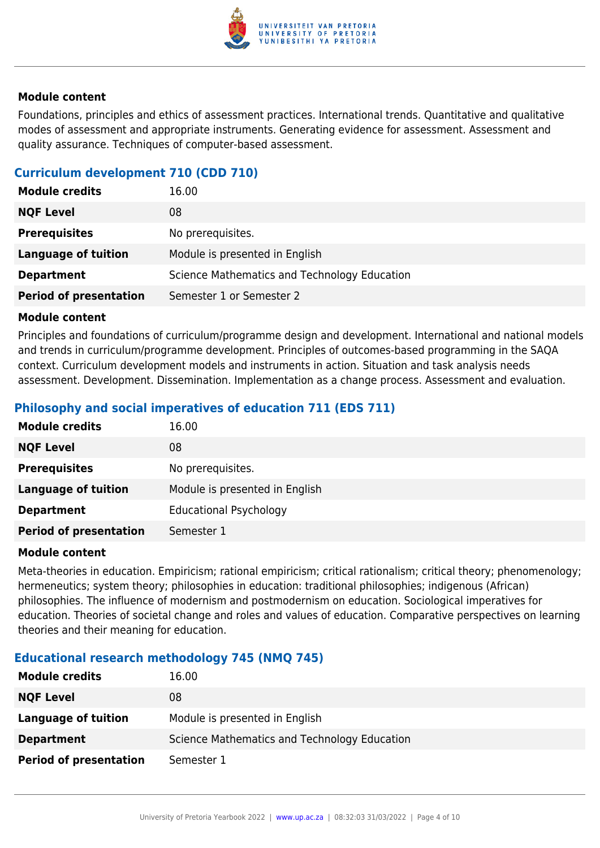

Foundations, principles and ethics of assessment practices. International trends. Quantitative and qualitative modes of assessment and appropriate instruments. Generating evidence for assessment. Assessment and quality assurance. Techniques of computer-based assessment.

## **Curriculum development 710 (CDD 710)**

| <b>Module credits</b>         | 16.00                                        |
|-------------------------------|----------------------------------------------|
| <b>NQF Level</b>              | 08                                           |
| <b>Prerequisites</b>          | No prerequisites.                            |
| <b>Language of tuition</b>    | Module is presented in English               |
| <b>Department</b>             | Science Mathematics and Technology Education |
| <b>Period of presentation</b> | Semester 1 or Semester 2                     |

#### **Module content**

Principles and foundations of curriculum/programme design and development. International and national models and trends in curriculum/programme development. Principles of outcomes-based programming in the SAQA context. Curriculum development models and instruments in action. Situation and task analysis needs assessment. Development. Dissemination. Implementation as a change process. Assessment and evaluation.

## **Philosophy and social imperatives of education 711 (EDS 711)**

| <b>Module credits</b>         | 16.00                          |
|-------------------------------|--------------------------------|
| <b>NQF Level</b>              | 08                             |
| <b>Prerequisites</b>          | No prerequisites.              |
| <b>Language of tuition</b>    | Module is presented in English |
| <b>Department</b>             | <b>Educational Psychology</b>  |
| <b>Period of presentation</b> | Semester 1                     |

#### **Module content**

Meta-theories in education. Empiricism; rational empiricism; critical rationalism; critical theory; phenomenology; hermeneutics; system theory; philosophies in education: traditional philosophies; indigenous (African) philosophies. The influence of modernism and postmodernism on education. Sociological imperatives for education. Theories of societal change and roles and values of education. Comparative perspectives on learning theories and their meaning for education.

#### **Educational research methodology 745 (NMQ 745)**

| <b>Module credits</b>         | 16.00                                        |
|-------------------------------|----------------------------------------------|
| <b>NQF Level</b>              | 08                                           |
| Language of tuition           | Module is presented in English               |
| <b>Department</b>             | Science Mathematics and Technology Education |
| <b>Period of presentation</b> | Semester 1                                   |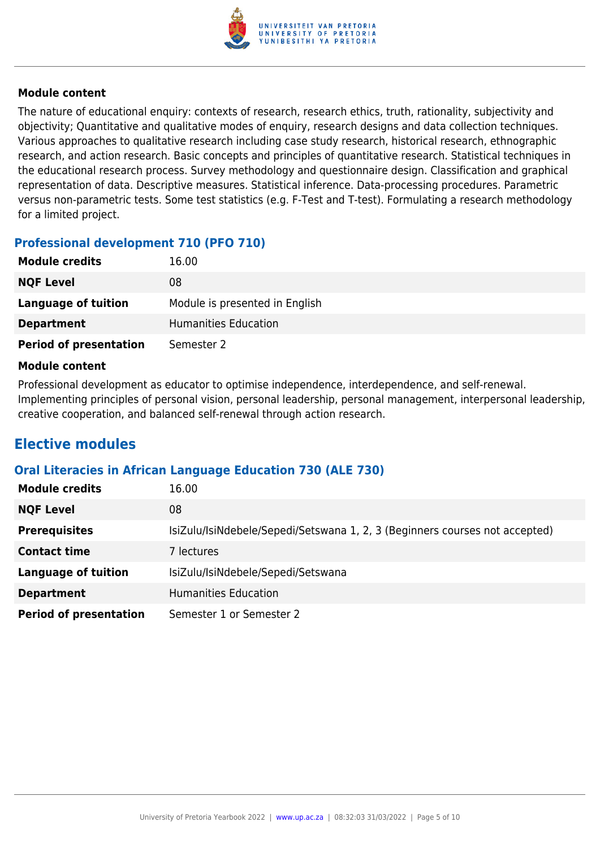

The nature of educational enquiry: contexts of research, research ethics, truth, rationality, subjectivity and objectivity; Quantitative and qualitative modes of enquiry, research designs and data collection techniques. Various approaches to qualitative research including case study research, historical research, ethnographic research, and action research. Basic concepts and principles of quantitative research. Statistical techniques in the educational research process. Survey methodology and questionnaire design. Classification and graphical representation of data. Descriptive measures. Statistical inference. Data-processing procedures. Parametric versus non-parametric tests. Some test statistics (e.g. F-Test and T-test). Formulating a research methodology for a limited project.

## **Professional development 710 (PFO 710)**

| <b>Module credits</b>         | 16.00                          |
|-------------------------------|--------------------------------|
| <b>NQF Level</b>              | 08                             |
| Language of tuition           | Module is presented in English |
| <b>Department</b>             | Humanities Education           |
| <b>Period of presentation</b> | Semester 2                     |

#### **Module content**

Professional development as educator to optimise independence, interdependence, and self-renewal. Implementing principles of personal vision, personal leadership, personal management, interpersonal leadership, creative cooperation, and balanced self-renewal through action research.

# **Elective modules**

#### **Oral Literacies in African Language Education 730 (ALE 730)**

| <b>Module credits</b>         | 16.00                                                                       |
|-------------------------------|-----------------------------------------------------------------------------|
| <b>NQF Level</b>              | 08                                                                          |
| <b>Prerequisites</b>          | IsiZulu/IsiNdebele/Sepedi/Setswana 1, 2, 3 (Beginners courses not accepted) |
| <b>Contact time</b>           | 7 lectures                                                                  |
| <b>Language of tuition</b>    | IsiZulu/IsiNdebele/Sepedi/Setswana                                          |
| <b>Department</b>             | <b>Humanities Education</b>                                                 |
| <b>Period of presentation</b> | Semester 1 or Semester 2                                                    |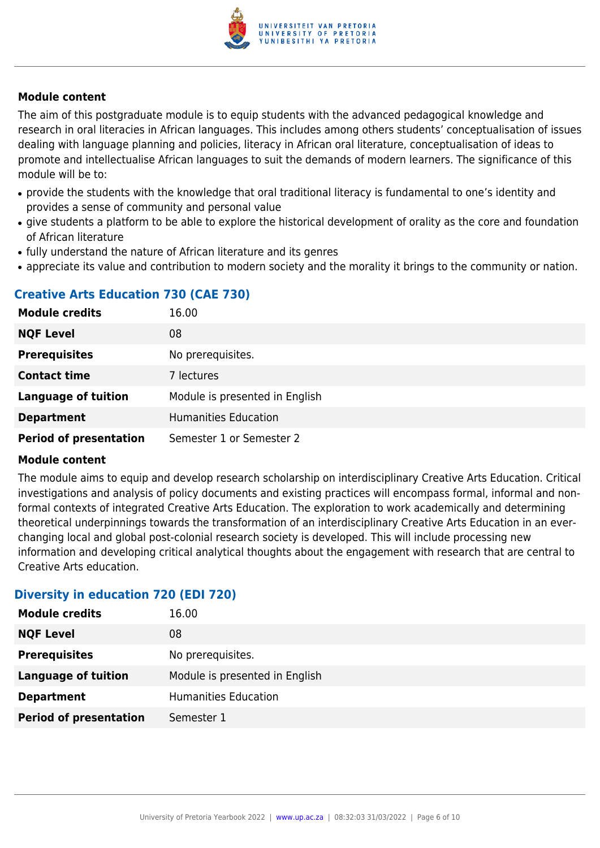

The aim of this postgraduate module is to equip students with the advanced pedagogical knowledge and research in oral literacies in African languages. This includes among others students' conceptualisation of issues dealing with language planning and policies, literacy in African oral literature, conceptualisation of ideas to promote and intellectualise African languages to suit the demands of modern learners. The significance of this module will be to:

- provide the students with the knowledge that oral traditional literacy is fundamental to one's identity and provides a sense of community and personal value
- give students a platform to be able to explore the historical development of orality as the core and foundation of African literature
- fully understand the nature of African literature and its genres
- appreciate its value and contribution to modern society and the morality it brings to the community or nation.

# **Creative Arts Education 730 (CAE 730)**

| <b>Module credits</b>         | 16.00                          |
|-------------------------------|--------------------------------|
| <b>NQF Level</b>              | 08                             |
| <b>Prerequisites</b>          | No prerequisites.              |
| <b>Contact time</b>           | 7 lectures                     |
| <b>Language of tuition</b>    | Module is presented in English |
| <b>Department</b>             | <b>Humanities Education</b>    |
| <b>Period of presentation</b> | Semester 1 or Semester 2       |

#### **Module content**

The module aims to equip and develop research scholarship on interdisciplinary Creative Arts Education. Critical investigations and analysis of policy documents and existing practices will encompass formal, informal and nonformal contexts of integrated Creative Arts Education. The exploration to work academically and determining theoretical underpinnings towards the transformation of an interdisciplinary Creative Arts Education in an everchanging local and global post-colonial research society is developed. This will include processing new information and developing critical analytical thoughts about the engagement with research that are central to Creative Arts education.

#### **Diversity in education 720 (EDI 720)**

| <b>Module credits</b>         | 16.00                          |
|-------------------------------|--------------------------------|
| <b>NQF Level</b>              | 08                             |
| <b>Prerequisites</b>          | No prerequisites.              |
| <b>Language of tuition</b>    | Module is presented in English |
| <b>Department</b>             | <b>Humanities Education</b>    |
| <b>Period of presentation</b> | Semester 1                     |
|                               |                                |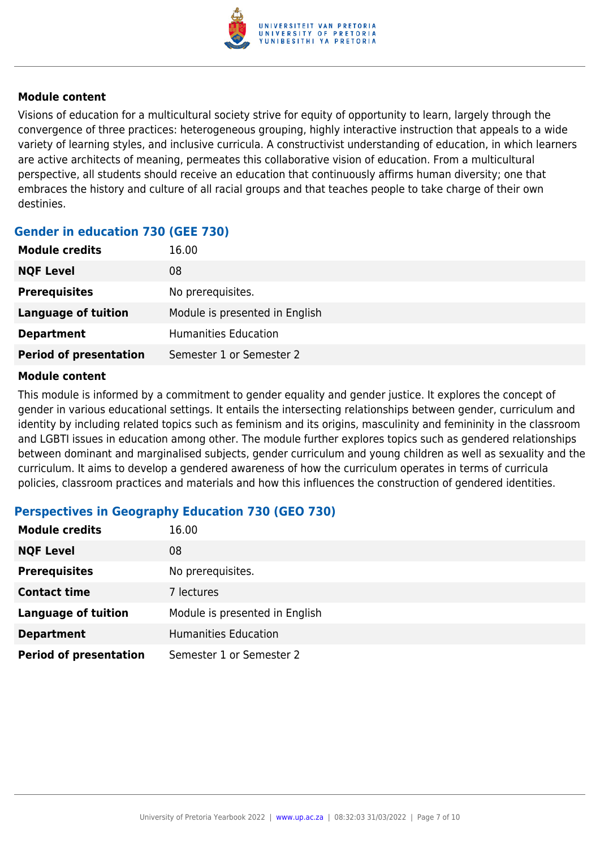

Visions of education for a multicultural society strive for equity of opportunity to learn, largely through the convergence of three practices: heterogeneous grouping, highly interactive instruction that appeals to a wide variety of learning styles, and inclusive curricula. A constructivist understanding of education, in which learners are active architects of meaning, permeates this collaborative vision of education. From a multicultural perspective, all students should receive an education that continuously affirms human diversity; one that embraces the history and culture of all racial groups and that teaches people to take charge of their own destinies.

# **Gender in education 730 (GEE 730)**

| <b>Module credits</b>         | 16.00                          |
|-------------------------------|--------------------------------|
| <b>NQF Level</b>              | 08                             |
| <b>Prerequisites</b>          | No prerequisites.              |
| Language of tuition           | Module is presented in English |
| <b>Department</b>             | <b>Humanities Education</b>    |
| <b>Period of presentation</b> | Semester 1 or Semester 2       |

#### **Module content**

This module is informed by a commitment to gender equality and gender justice. It explores the concept of gender in various educational settings. It entails the intersecting relationships between gender, curriculum and identity by including related topics such as feminism and its origins, masculinity and femininity in the classroom and LGBTI issues in education among other. The module further explores topics such as gendered relationships between dominant and marginalised subjects, gender curriculum and young children as well as sexuality and the curriculum. It aims to develop a gendered awareness of how the curriculum operates in terms of curricula policies, classroom practices and materials and how this influences the construction of gendered identities.

## **Perspectives in Geography Education 730 (GEO 730)**

| <b>Module credits</b>         | 16.00                          |
|-------------------------------|--------------------------------|
| <b>NQF Level</b>              | 08                             |
| <b>Prerequisites</b>          | No prerequisites.              |
| <b>Contact time</b>           | 7 lectures                     |
| <b>Language of tuition</b>    | Module is presented in English |
| <b>Department</b>             | <b>Humanities Education</b>    |
| <b>Period of presentation</b> | Semester 1 or Semester 2       |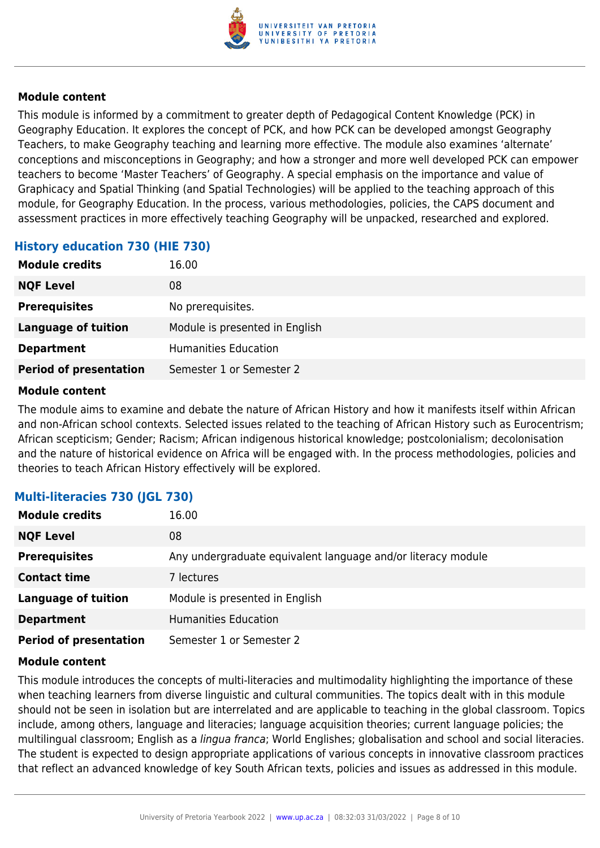

This module is informed by a commitment to greater depth of Pedagogical Content Knowledge (PCK) in Geography Education. It explores the concept of PCK, and how PCK can be developed amongst Geography Teachers, to make Geography teaching and learning more effective. The module also examines 'alternate' conceptions and misconceptions in Geography; and how a stronger and more well developed PCK can empower teachers to become 'Master Teachers' of Geography. A special emphasis on the importance and value of Graphicacy and Spatial Thinking (and Spatial Technologies) will be applied to the teaching approach of this module, for Geography Education. In the process, various methodologies, policies, the CAPS document and assessment practices in more effectively teaching Geography will be unpacked, researched and explored.

#### **History education 730 (HIE 730)**

| <b>Module credits</b>         | 16.00                          |
|-------------------------------|--------------------------------|
| <b>NQF Level</b>              | 08                             |
| <b>Prerequisites</b>          | No prerequisites.              |
| <b>Language of tuition</b>    | Module is presented in English |
| <b>Department</b>             | <b>Humanities Education</b>    |
| <b>Period of presentation</b> | Semester 1 or Semester 2       |

#### **Module content**

The module aims to examine and debate the nature of African History and how it manifests itself within African and non-African school contexts. Selected issues related to the teaching of African History such as Eurocentrism; African scepticism; Gender; Racism; African indigenous historical knowledge; postcolonialism; decolonisation and the nature of historical evidence on Africa will be engaged with. In the process methodologies, policies and theories to teach African History effectively will be explored.

## **Multi-literacies 730 (JGL 730)**

| <b>Module credits</b>         | 16.00                                                        |
|-------------------------------|--------------------------------------------------------------|
| <b>NQF Level</b>              | 08                                                           |
| <b>Prerequisites</b>          | Any undergraduate equivalent language and/or literacy module |
| <b>Contact time</b>           | 7 lectures                                                   |
| <b>Language of tuition</b>    | Module is presented in English                               |
| <b>Department</b>             | <b>Humanities Education</b>                                  |
| <b>Period of presentation</b> | Semester 1 or Semester 2                                     |

#### **Module content**

This module introduces the concepts of multi-literacies and multimodality highlighting the importance of these when teaching learners from diverse linguistic and cultural communities. The topics dealt with in this module should not be seen in isolation but are interrelated and are applicable to teaching in the global classroom. Topics include, among others, language and literacies; language acquisition theories; current language policies; the multilingual classroom; English as a lingua franca; World Englishes; globalisation and school and social literacies. The student is expected to design appropriate applications of various concepts in innovative classroom practices that reflect an advanced knowledge of key South African texts, policies and issues as addressed in this module.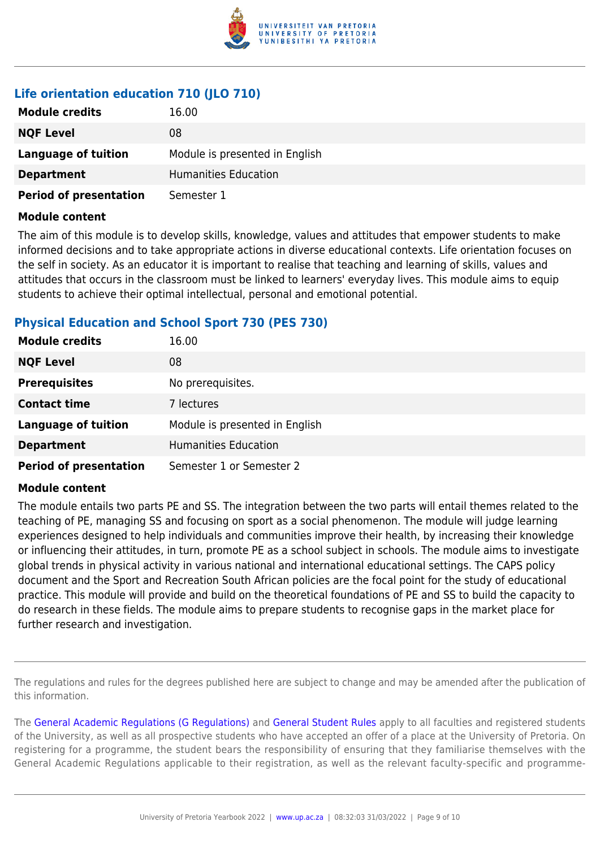

# **Life orientation education 710 (JLO 710)**

| <b>Module credits</b>         | 16.00                          |
|-------------------------------|--------------------------------|
| <b>NQF Level</b>              | 08                             |
| Language of tuition           | Module is presented in English |
| <b>Department</b>             | Humanities Education           |
| <b>Period of presentation</b> | Semester 1                     |

#### **Module content**

The aim of this module is to develop skills, knowledge, values and attitudes that empower students to make informed decisions and to take appropriate actions in diverse educational contexts. Life orientation focuses on the self in society. As an educator it is important to realise that teaching and learning of skills, values and attitudes that occurs in the classroom must be linked to learners' everyday lives. This module aims to equip students to achieve their optimal intellectual, personal and emotional potential.

#### **Physical Education and School Sport 730 (PES 730)**

| <b>Module credits</b>         | 16.00                          |
|-------------------------------|--------------------------------|
| <b>NQF Level</b>              | 08                             |
| <b>Prerequisites</b>          | No prerequisites.              |
| <b>Contact time</b>           | 7 lectures                     |
| <b>Language of tuition</b>    | Module is presented in English |
| <b>Department</b>             | <b>Humanities Education</b>    |
| <b>Period of presentation</b> | Semester 1 or Semester 2       |

#### **Module content**

The module entails two parts PE and SS. The integration between the two parts will entail themes related to the teaching of PE, managing SS and focusing on sport as a social phenomenon. The module will judge learning experiences designed to help individuals and communities improve their health, by increasing their knowledge or influencing their attitudes, in turn, promote PE as a school subject in schools. The module aims to investigate global trends in physical activity in various national and international educational settings. The CAPS policy document and the Sport and Recreation South African policies are the focal point for the study of educational practice. This module will provide and build on the theoretical foundations of PE and SS to build the capacity to do research in these fields. The module aims to prepare students to recognise gaps in the market place for further research and investigation.

The regulations and rules for the degrees published here are subject to change and may be amended after the publication of this information.

The [General Academic Regulations \(G Regulations\)](https://www.up.ac.za/yearbooks/2022/rules/view/REG) and [General Student Rules](https://www.up.ac.za/yearbooks/2022/rules/view/RUL) apply to all faculties and registered students of the University, as well as all prospective students who have accepted an offer of a place at the University of Pretoria. On registering for a programme, the student bears the responsibility of ensuring that they familiarise themselves with the General Academic Regulations applicable to their registration, as well as the relevant faculty-specific and programme-